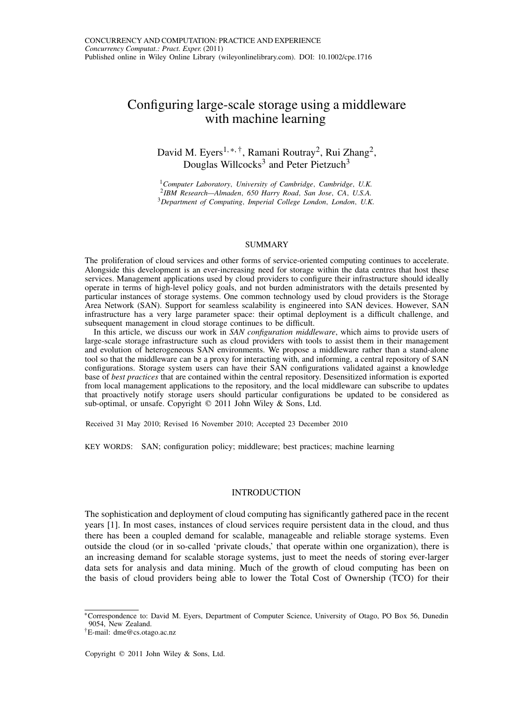# Configuring large-scale storage using a middleware with machine learning

David M. Eyers1*,*∗*,*†, Ramani Routray2, Rui Zhang2, Douglas Willcocks<sup>3</sup> and Peter Pietzuch<sup>3</sup>

<sup>1</sup>*Computer Laboratory, University of Cambridge, Cambridge, U.K.* <sup>2</sup>*IBM Research—Almaden, 650 Harry Road, San Jose, CA, U.S.A.* <sup>3</sup>*Department of Computing, Imperial College London, London, U.K.*

#### SUMMARY

The proliferation of cloud services and other forms of service-oriented computing continues to accelerate. Alongside this development is an ever-increasing need for storage within the data centres that host these services. Management applications used by cloud providers to configure their infrastructure should ideally operate in terms of high-level policy goals, and not burden administrators with the details presented by particular instances of storage systems. One common technology used by cloud providers is the Storage Area Network (SAN). Support for seamless scalability is engineered into SAN devices. However, SAN infrastructure has a very large parameter space: their optimal deployment is a difficult challenge, and subsequent management in cloud storage continues to be difficult.

In this article, we discuss our work in *SAN configuration middleware*, which aims to provide users of large-scale storage infrastructure such as cloud providers with tools to assist them in their management and evolution of heterogeneous SAN environments. We propose a middleware rather than a stand-alone tool so that the middleware can be a proxy for interacting with, and informing, a central repository of SAN configurations. Storage system users can have their SAN configurations validated against a knowledge base of *best practices* that are contained within the central repository. Desensitized information is exported from local management applications to the repository, and the local middleware can subscribe to updates that proactively notify storage users should particular configurations be updated to be considered as sub-optimal, or unsafe. Copyright © 2011 John Wiley & Sons, Ltd.

Received 31 May 2010; Revised 16 November 2010; Accepted 23 December 2010

KEY WORDS: SAN; configuration policy; middleware; best practices; machine learning

#### INTRODUCTION

The sophistication and deployment of cloud computing has significantly gathered pace in the recent years [1]. In most cases, instances of cloud services require persistent data in the cloud, and thus there has been a coupled demand for scalable, manageable and reliable storage systems. Even outside the cloud (or in so-called 'private clouds,' that operate within one organization), there is an increasing demand for scalable storage systems, just to meet the needs of storing ever-larger data sets for analysis and data mining. Much of the growth of cloud computing has been on the basis of cloud providers being able to lower the Total Cost of Ownership (TCO) for their

<sup>∗</sup>Correspondence to: David M. Eyers, Department of Computer Science, University of Otago, PO Box 56, Dunedin 9054, New Zealand.

<sup>†</sup>E-mail: dme@cs.otago.ac.nz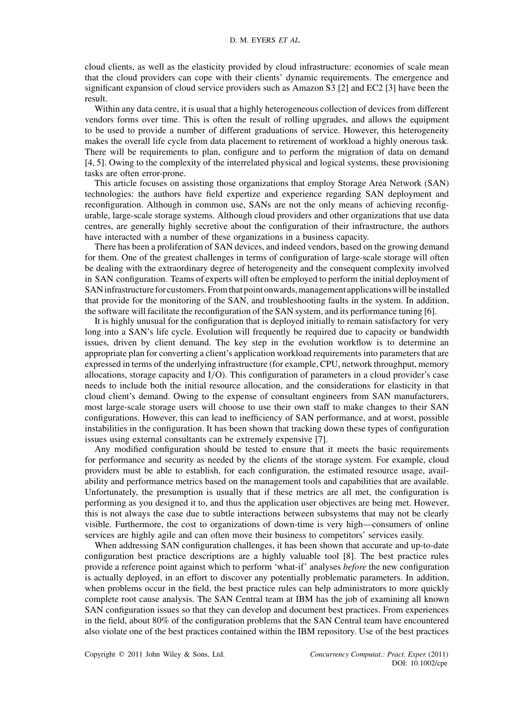cloud clients, as well as the elasticity provided by cloud infrastructure: economies of scale mean that the cloud providers can cope with their clients' dynamic requirements. The emergence and significant expansion of cloud service providers such as Amazon S3 [2] and EC2 [3] have been the result.

Within any data centre, it is usual that a highly heterogeneous collection of devices from different vendors forms over time. This is often the result of rolling upgrades, and allows the equipment to be used to provide a number of different graduations of service. However, this heterogeneity makes the overall life cycle from data placement to retirement of workload a highly onerous task. There will be requirements to plan, configure and to perform the migration of data on demand [4, 5]. Owing to the complexity of the interrelated physical and logical systems, these provisioning tasks are often error-prone.

This article focuses on assisting those organizations that employ Storage Area Network (SAN) technologies: the authors have field expertize and experience regarding SAN deployment and reconfiguration. Although in common use, SANs are not the only means of achieving reconfigurable, large-scale storage systems. Although cloud providers and other organizations that use data centres, are generally highly secretive about the configuration of their infrastructure, the authors have interacted with a number of these organizations in a business capacity.

There has been a proliferation of SAN devices, and indeed vendors, based on the growing demand for them. One of the greatest challenges in terms of configuration of large-scale storage will often be dealing with the extraordinary degree of heterogeneity and the consequent complexity involved in SAN configuration. Teams of experts will often be employed to perform the initial deployment of SAN infrastructure for customers. From that point onwards, management applications will be installed that provide for the monitoring of the SAN, and troubleshooting faults in the system. In addition, the software will facilitate the reconfiguration of the SAN system, and its performance tuning [6].

It is highly unusual for the configuration that is deployed initially to remain satisfactory for very long into a SAN's life cycle. Evolution will frequently be required due to capacity or bandwidth issues, driven by client demand. The key step in the evolution workflow is to determine an appropriate plan for converting a client's application workload requirements into parameters that are expressed in terms of the underlying infrastructure (for example, CPU, network throughput, memory allocations, storage capacity and I*/*O). This configuration of parameters in a cloud provider's case needs to include both the initial resource allocation, and the considerations for elasticity in that cloud client's demand. Owing to the expense of consultant engineers from SAN manufacturers, most large-scale storage users will choose to use their own staff to make changes to their SAN configurations. However, this can lead to inefficiency of SAN performance, and at worst, possible instabilities in the configuration. It has been shown that tracking down these types of configuration issues using external consultants can be extremely expensive [7].

Any modified configuration should be tested to ensure that it meets the basic requirements for performance and security as needed by the clients of the storage system. For example, cloud providers must be able to establish, for each configuration, the estimated resource usage, availability and performance metrics based on the management tools and capabilities that are available. Unfortunately, the presumption is usually that if these metrics are all met, the configuration is performing as you designed it to, and thus the application user objectives are being met. However, this is not always the case due to subtle interactions between subsystems that may not be clearly visible. Furthermore, the cost to organizations of down-time is very high—consumers of online services are highly agile and can often move their business to competitors' services easily.

When addressing SAN configuration challenges, it has been shown that accurate and up-to-date configuration best practice descriptions are a highly valuable tool [8]. The best practice rules provide a reference point against which to perform 'what-if' analyses *before* the new configuration is actually deployed, in an effort to discover any potentially problematic parameters. In addition, when problems occur in the field, the best practice rules can help administrators to more quickly complete root cause analysis. The SAN Central team at IBM has the job of examining all known SAN configuration issues so that they can develop and document best practices. From experiences in the field, about 80% of the configuration problems that the SAN Central team have encountered also violate one of the best practices contained within the IBM repository. Use of the best practices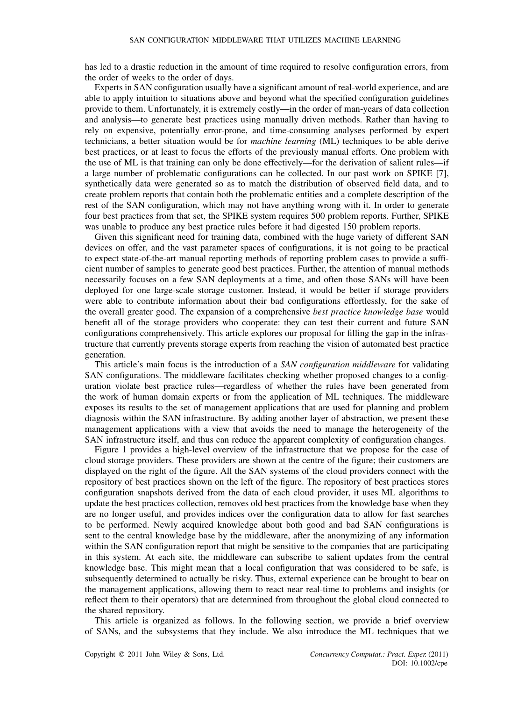has led to a drastic reduction in the amount of time required to resolve configuration errors, from the order of weeks to the order of days.

Experts in SAN configuration usually have a significant amount of real-world experience, and are able to apply intuition to situations above and beyond what the specified configuration guidelines provide to them. Unfortunately, it is extremely costly—in the order of man-years of data collection and analysis—to generate best practices using manually driven methods. Rather than having to rely on expensive, potentially error-prone, and time-consuming analyses performed by expert technicians, a better situation would be for *machine learning* (ML) techniques to be able derive best practices, or at least to focus the efforts of the previously manual efforts. One problem with the use of ML is that training can only be done effectively—for the derivation of salient rules—if a large number of problematic configurations can be collected. In our past work on SPIKE [7], synthetically data were generated so as to match the distribution of observed field data, and to create problem reports that contain both the problematic entities and a complete description of the rest of the SAN configuration, which may not have anything wrong with it. In order to generate four best practices from that set, the SPIKE system requires 500 problem reports. Further, SPIKE was unable to produce any best practice rules before it had digested 150 problem reports.

Given this significant need for training data, combined with the huge variety of different SAN devices on offer, and the vast parameter spaces of configurations, it is not going to be practical to expect state-of-the-art manual reporting methods of reporting problem cases to provide a sufficient number of samples to generate good best practices. Further, the attention of manual methods necessarily focuses on a few SAN deployments at a time, and often those SANs will have been deployed for one large-scale storage customer. Instead, it would be better if storage providers were able to contribute information about their bad configurations effortlessly, for the sake of the overall greater good. The expansion of a comprehensive *best practice knowledge base* would benefit all of the storage providers who cooperate: they can test their current and future SAN configurations comprehensively. This article explores our proposal for filling the gap in the infrastructure that currently prevents storage experts from reaching the vision of automated best practice generation.

This article's main focus is the introduction of a *SAN configuration middleware* for validating SAN configurations. The middleware facilitates checking whether proposed changes to a configuration violate best practice rules—regardless of whether the rules have been generated from the work of human domain experts or from the application of ML techniques. The middleware exposes its results to the set of management applications that are used for planning and problem diagnosis within the SAN infrastructure. By adding another layer of abstraction, we present these management applications with a view that avoids the need to manage the heterogeneity of the SAN infrastructure itself, and thus can reduce the apparent complexity of configuration changes.

Figure 1 provides a high-level overview of the infrastructure that we propose for the case of cloud storage providers. These providers are shown at the centre of the figure; their customers are displayed on the right of the figure. All the SAN systems of the cloud providers connect with the repository of best practices shown on the left of the figure. The repository of best practices stores configuration snapshots derived from the data of each cloud provider, it uses ML algorithms to update the best practices collection, removes old best practices from the knowledge base when they are no longer useful, and provides indices over the configuration data to allow for fast searches to be performed. Newly acquired knowledge about both good and bad SAN configurations is sent to the central knowledge base by the middleware, after the anonymizing of any information within the SAN configuration report that might be sensitive to the companies that are participating in this system. At each site, the middleware can subscribe to salient updates from the central knowledge base. This might mean that a local configuration that was considered to be safe, is subsequently determined to actually be risky. Thus, external experience can be brought to bear on the management applications, allowing them to react near real-time to problems and insights (or reflect them to their operators) that are determined from throughout the global cloud connected to the shared repository.

This article is organized as follows. In the following section, we provide a brief overview of SANs, and the subsystems that they include. We also introduce the ML techniques that we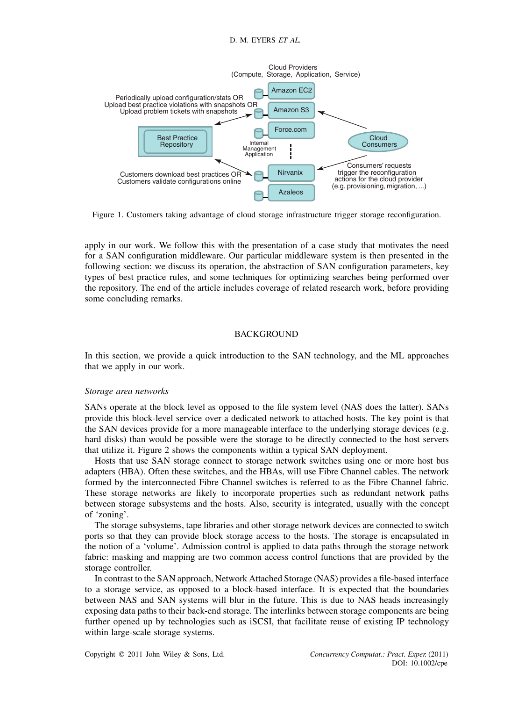

Figure 1. Customers taking advantage of cloud storage infrastructure trigger storage reconfiguration.

apply in our work. We follow this with the presentation of a case study that motivates the need for a SAN configuration middleware. Our particular middleware system is then presented in the following section: we discuss its operation, the abstraction of SAN configuration parameters, key types of best practice rules, and some techniques for optimizing searches being performed over the repository. The end of the article includes coverage of related research work, before providing some concluding remarks.

## **BACKGROUND**

In this section, we provide a quick introduction to the SAN technology, and the ML approaches that we apply in our work.

#### *Storage area networks*

SANs operate at the block level as opposed to the file system level (NAS does the latter). SANs provide this block-level service over a dedicated network to attached hosts. The key point is that the SAN devices provide for a more manageable interface to the underlying storage devices (e.g. hard disks) than would be possible were the storage to be directly connected to the host servers that utilize it. Figure 2 shows the components within a typical SAN deployment.

Hosts that use SAN storage connect to storage network switches using one or more host bus adapters (HBA). Often these switches, and the HBAs, will use Fibre Channel cables. The network formed by the interconnected Fibre Channel switches is referred to as the Fibre Channel fabric. These storage networks are likely to incorporate properties such as redundant network paths between storage subsystems and the hosts. Also, security is integrated, usually with the concept of 'zoning'.

The storage subsystems, tape libraries and other storage network devices are connected to switch ports so that they can provide block storage access to the hosts. The storage is encapsulated in the notion of a 'volume'. Admission control is applied to data paths through the storage network fabric: masking and mapping are two common access control functions that are provided by the storage controller.

In contrast to the SAN approach, Network Attached Storage (NAS) provides a file-based interface to a storage service, as opposed to a block-based interface. It is expected that the boundaries between NAS and SAN systems will blur in the future. This is due to NAS heads increasingly exposing data paths to their back-end storage. The interlinks between storage components are being further opened up by technologies such as iSCSI, that facilitate reuse of existing IP technology within large-scale storage systems.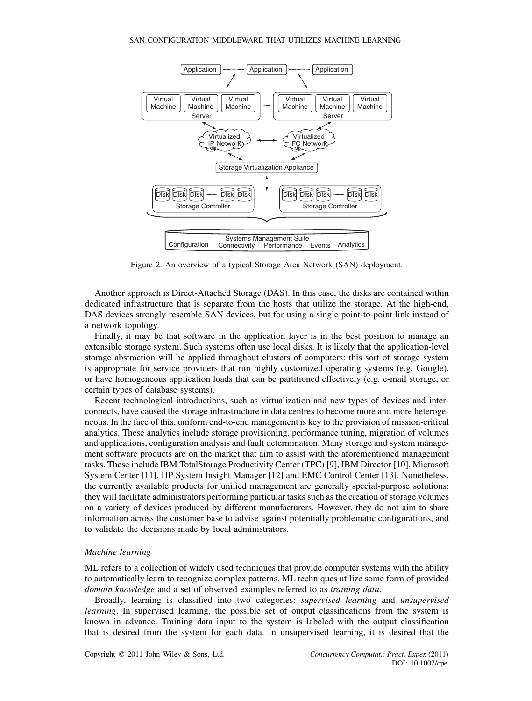

Figure 2. An overview of a typical Storage Area Network (SAN) deployment.

Another approach is Direct-Attached Storage (DAS). In this case, the disks are contained within dedicated infrastructure that is separate from the hosts that utilize the storage. At the high-end, DAS devices strongly resemble SAN devices, but for using a single point-to-point link instead of a network topology.

Finally, it may be that software in the application layer is in the best position to manage an extensible storage system. Such systems often use local disks. It is likely that the application-level storage abstraction will be applied throughout clusters of computers: this sort of storage system is appropriate for service providers that run highly customized operating systems (e.g. Google), or have homogeneous application loads that can be partitioned effectively (e.g. e-mail storage, or certain types of database systems).

Recent technological introductions, such as virtualization and new types of devices and interconnects, have caused the storage infrastructure in data centres to become more and more heterogeneous. In the face of this, uniform end-to-end management is key to the provision of mission-critical analytics. These analytics include storage provisioning, performance tuning, migration of volumes and applications, configuration analysis and fault determination. Many storage and system management software products are on the market that aim to assist with the aforementioned management tasks. These include IBM TotalStorage Productivity Center (TPC) [9], IBM Director [10], Microsoft System Center [11], HP System Insight Manager [12] and EMC Control Center [13]. Nonetheless, the currently available products for unified management are generally special-purpose solutions: they will facilitate administrators performing particular tasks such as the creation of storage volumes on a variety of devices produced by different manufacturers. However, they do not aim to share information across the customer base to advise against potentially problematic configurations, and to validate the decisions made by local administrators.

## *Machine learning*

ML refers to a collection of widely used techniques that provide computer systems with the ability to automatically learn to recognize complex patterns. ML techniques utilize some form of provided *domain knowledge* and a set of observed examples referred to as *training data*.

Broadly, learning is classified into two categories: *supervised learning* and *unsupervised learning*. In supervised learning, the possible set of output classifications from the system is known in advance. Training data input to the system is labeled with the output classification that is desired from the system for each data. In unsupervised learning, it is desired that the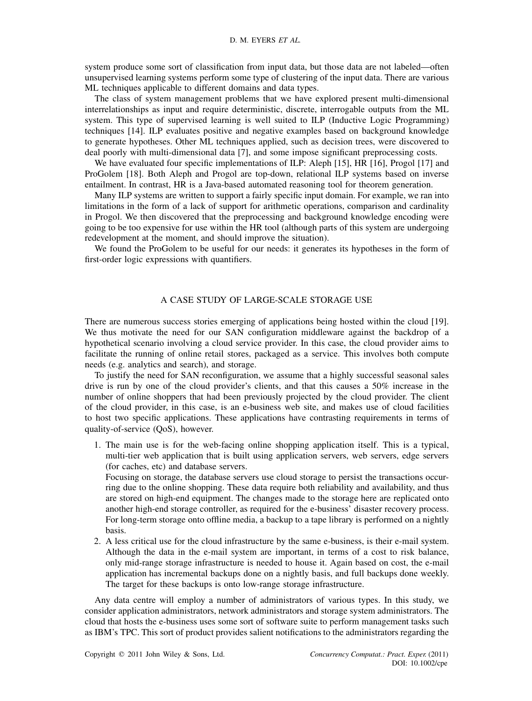system produce some sort of classification from input data, but those data are not labeled—often unsupervised learning systems perform some type of clustering of the input data. There are various ML techniques applicable to different domains and data types.

The class of system management problems that we have explored present multi-dimensional interrelationships as input and require deterministic, discrete, interrogable outputs from the ML system. This type of supervised learning is well suited to ILP (Inductive Logic Programming) techniques [14]. ILP evaluates positive and negative examples based on background knowledge to generate hypotheses. Other ML techniques applied, such as decision trees, were discovered to deal poorly with multi-dimensional data [7], and some impose significant preprocessing costs.

We have evaluated four specific implementations of ILP: Aleph [15], HR [16], Progol [17] and ProGolem [18]. Both Aleph and Progol are top-down, relational ILP systems based on inverse entailment. In contrast, HR is a Java-based automated reasoning tool for theorem generation.

Many ILP systems are written to support a fairly specific input domain. For example, we ran into limitations in the form of a lack of support for arithmetic operations, comparison and cardinality in Progol. We then discovered that the preprocessing and background knowledge encoding were going to be too expensive for use within the HR tool (although parts of this system are undergoing redevelopment at the moment, and should improve the situation).

We found the ProGolem to be useful for our needs: it generates its hypotheses in the form of first-order logic expressions with quantifiers.

# A CASE STUDY OF LARGE-SCALE STORAGE USE

There are numerous success stories emerging of applications being hosted within the cloud [19]. We thus motivate the need for our SAN configuration middleware against the backdrop of a hypothetical scenario involving a cloud service provider. In this case, the cloud provider aims to facilitate the running of online retail stores, packaged as a service. This involves both compute needs (e.g. analytics and search), and storage.

To justify the need for SAN reconfiguration, we assume that a highly successful seasonal sales drive is run by one of the cloud provider's clients, and that this causes a 50% increase in the number of online shoppers that had been previously projected by the cloud provider. The client of the cloud provider, in this case, is an e-business web site, and makes use of cloud facilities to host two specific applications. These applications have contrasting requirements in terms of quality-of-service (QoS), however.

1. The main use is for the web-facing online shopping application itself. This is a typical, multi-tier web application that is built using application servers, web servers, edge servers (for caches, etc) and database servers.

Focusing on storage, the database servers use cloud storage to persist the transactions occurring due to the online shopping. These data require both reliability and availability, and thus are stored on high-end equipment. The changes made to the storage here are replicated onto another high-end storage controller, as required for the e-business' disaster recovery process. For long-term storage onto offline media, a backup to a tape library is performed on a nightly basis.

2. A less critical use for the cloud infrastructure by the same e-business, is their e-mail system. Although the data in the e-mail system are important, in terms of a cost to risk balance, only mid-range storage infrastructure is needed to house it. Again based on cost, the e-mail application has incremental backups done on a nightly basis, and full backups done weekly. The target for these backups is onto low-range storage infrastructure.

Any data centre will employ a number of administrators of various types. In this study, we consider application administrators, network administrators and storage system administrators. The cloud that hosts the e-business uses some sort of software suite to perform management tasks such as IBM's TPC. This sort of product provides salient notifications to the administrators regarding the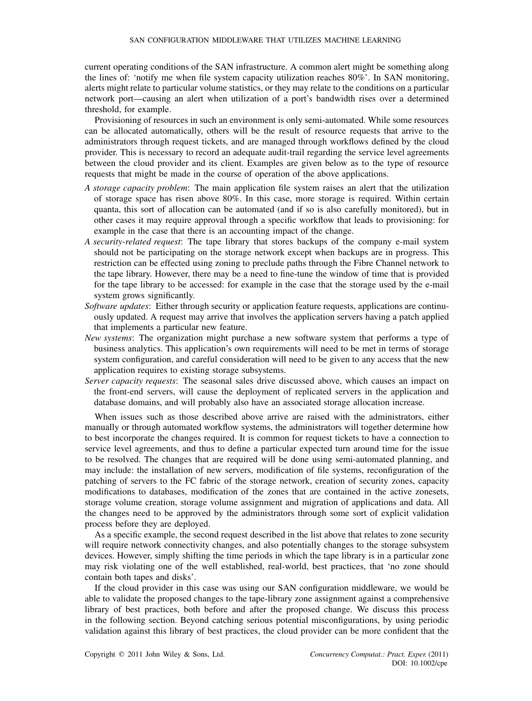current operating conditions of the SAN infrastructure. A common alert might be something along the lines of: 'notify me when file system capacity utilization reaches 80%'. In SAN monitoring, alerts might relate to particular volume statistics, or they may relate to the conditions on a particular network port—causing an alert when utilization of a port's bandwidth rises over a determined threshold, for example.

Provisioning of resources in such an environment is only semi-automated. While some resources can be allocated automatically, others will be the result of resource requests that arrive to the administrators through request tickets, and are managed through workflows defined by the cloud provider. This is necessary to record an adequate audit-trail regarding the service level agreements between the cloud provider and its client. Examples are given below as to the type of resource requests that might be made in the course of operation of the above applications.

- *A storage capacity problem*: The main application file system raises an alert that the utilization of storage space has risen above 80%. In this case, more storage is required. Within certain quanta, this sort of allocation can be automated (and if so is also carefully monitored), but in other cases it may require approval through a specific workflow that leads to provisioning: for example in the case that there is an accounting impact of the change.
- *A security-related request*: The tape library that stores backups of the company e-mail system should not be participating on the storage network except when backups are in progress. This restriction can be effected using zoning to preclude paths through the Fibre Channel network to the tape library. However, there may be a need to fine-tune the window of time that is provided for the tape library to be accessed: for example in the case that the storage used by the e-mail system grows significantly.
- *Software updates*: Either through security or application feature requests, applications are continuously updated. A request may arrive that involves the application servers having a patch applied that implements a particular new feature.
- *New systems*: The organization might purchase a new software system that performs a type of business analytics. This application's own requirements will need to be met in terms of storage system configuration, and careful consideration will need to be given to any access that the new application requires to existing storage subsystems.
- *Server capacity requests*: The seasonal sales drive discussed above, which causes an impact on the front-end servers, will cause the deployment of replicated servers in the application and database domains, and will probably also have an associated storage allocation increase.

When issues such as those described above arrive are raised with the administrators, either manually or through automated workflow systems, the administrators will together determine how to best incorporate the changes required. It is common for request tickets to have a connection to service level agreements, and thus to define a particular expected turn around time for the issue to be resolved. The changes that are required will be done using semi-automated planning, and may include: the installation of new servers, modification of file systems, reconfiguration of the patching of servers to the FC fabric of the storage network, creation of security zones, capacity modifications to databases, modification of the zones that are contained in the active zonesets, storage volume creation, storage volume assignment and migration of applications and data. All the changes need to be approved by the administrators through some sort of explicit validation process before they are deployed.

As a specific example, the second request described in the list above that relates to zone security will require network connectivity changes, and also potentially changes to the storage subsystem devices. However, simply shifting the time periods in which the tape library is in a particular zone may risk violating one of the well established, real-world, best practices, that 'no zone should contain both tapes and disks'.

If the cloud provider in this case was using our SAN configuration middleware, we would be able to validate the proposed changes to the tape-library zone assignment against a comprehensive library of best practices, both before and after the proposed change. We discuss this process in the following section. Beyond catching serious potential misconfigurations, by using periodic validation against this library of best practices, the cloud provider can be more confident that the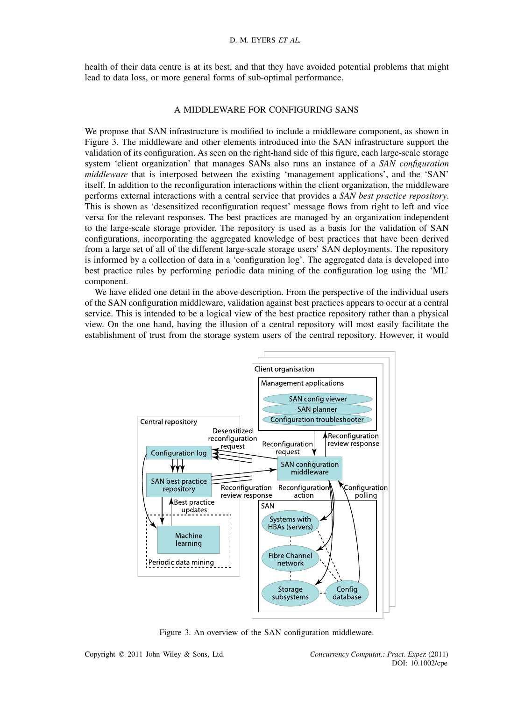health of their data centre is at its best, and that they have avoided potential problems that might lead to data loss, or more general forms of sub-optimal performance.

#### A MIDDLEWARE FOR CONFIGURING SANS

We propose that SAN infrastructure is modified to include a middleware component, as shown in Figure 3. The middleware and other elements introduced into the SAN infrastructure support the validation of its configuration. As seen on the right-hand side of this figure, each large-scale storage system 'client organization' that manages SANs also runs an instance of a *SAN configuration middleware* that is interposed between the existing 'management applications', and the 'SAN' itself. In addition to the reconfiguration interactions within the client organization, the middleware performs external interactions with a central service that provides a *SAN best practice repository*. This is shown as 'desensitized reconfiguration request' message flows from right to left and vice versa for the relevant responses. The best practices are managed by an organization independent to the large-scale storage provider. The repository is used as a basis for the validation of SAN configurations, incorporating the aggregated knowledge of best practices that have been derived from a large set of all of the different large-scale storage users' SAN deployments. The repository is informed by a collection of data in a 'configuration log'. The aggregated data is developed into best practice rules by performing periodic data mining of the configuration log using the 'ML' component.

We have elided one detail in the above description. From the perspective of the individual users of the SAN configuration middleware, validation against best practices appears to occur at a central service. This is intended to be a logical view of the best practice repository rather than a physical view. On the one hand, having the illusion of a central repository will most easily facilitate the establishment of trust from the storage system users of the central repository. However, it would



Figure 3. An overview of the SAN configuration middleware.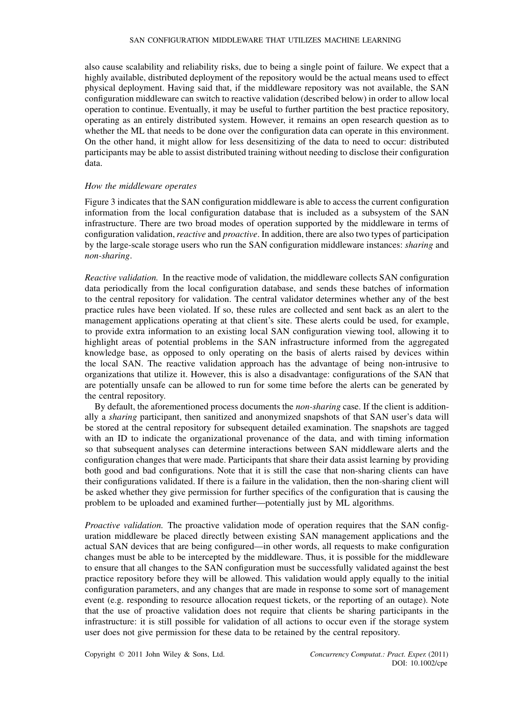also cause scalability and reliability risks, due to being a single point of failure. We expect that a highly available, distributed deployment of the repository would be the actual means used to effect physical deployment. Having said that, if the middleware repository was not available, the SAN configuration middleware can switch to reactive validation (described below) in order to allow local operation to continue. Eventually, it may be useful to further partition the best practice repository, operating as an entirely distributed system. However, it remains an open research question as to whether the ML that needs to be done over the configuration data can operate in this environment. On the other hand, it might allow for less desensitizing of the data to need to occur: distributed participants may be able to assist distributed training without needing to disclose their configuration data.

#### *How the middleware operates*

Figure 3 indicates that the SAN configuration middleware is able to access the current configuration information from the local configuration database that is included as a subsystem of the SAN infrastructure. There are two broad modes of operation supported by the middleware in terms of configuration validation,*reactive* and *proactive*. In addition, there are also two types of participation by the large-scale storage users who run the SAN configuration middleware instances: *sharing* and *non-sharing*.

*Reactive validation.* In the reactive mode of validation, the middleware collects SAN configuration data periodically from the local configuration database, and sends these batches of information to the central repository for validation. The central validator determines whether any of the best practice rules have been violated. If so, these rules are collected and sent back as an alert to the management applications operating at that client's site. These alerts could be used, for example, to provide extra information to an existing local SAN configuration viewing tool, allowing it to highlight areas of potential problems in the SAN infrastructure informed from the aggregated knowledge base, as opposed to only operating on the basis of alerts raised by devices within the local SAN. The reactive validation approach has the advantage of being non-intrusive to organizations that utilize it. However, this is also a disadvantage: configurations of the SAN that are potentially unsafe can be allowed to run for some time before the alerts can be generated by the central repository.

By default, the aforementioned process documents the *non-sharing* case. If the client is additionally a *sharing* participant, then sanitized and anonymized snapshots of that SAN user's data will be stored at the central repository for subsequent detailed examination. The snapshots are tagged with an ID to indicate the organizational provenance of the data, and with timing information so that subsequent analyses can determine interactions between SAN middleware alerts and the configuration changes that were made. Participants that share their data assist learning by providing both good and bad configurations. Note that it is still the case that non-sharing clients can have their configurations validated. If there is a failure in the validation, then the non-sharing client will be asked whether they give permission for further specifics of the configuration that is causing the problem to be uploaded and examined further—potentially just by ML algorithms.

*Proactive validation.* The proactive validation mode of operation requires that the SAN configuration middleware be placed directly between existing SAN management applications and the actual SAN devices that are being configured—in other words, all requests to make configuration changes must be able to be intercepted by the middleware. Thus, it is possible for the middleware to ensure that all changes to the SAN configuration must be successfully validated against the best practice repository before they will be allowed. This validation would apply equally to the initial configuration parameters, and any changes that are made in response to some sort of management event (e.g. responding to resource allocation request tickets, or the reporting of an outage). Note that the use of proactive validation does not require that clients be sharing participants in the infrastructure: it is still possible for validation of all actions to occur even if the storage system user does not give permission for these data to be retained by the central repository.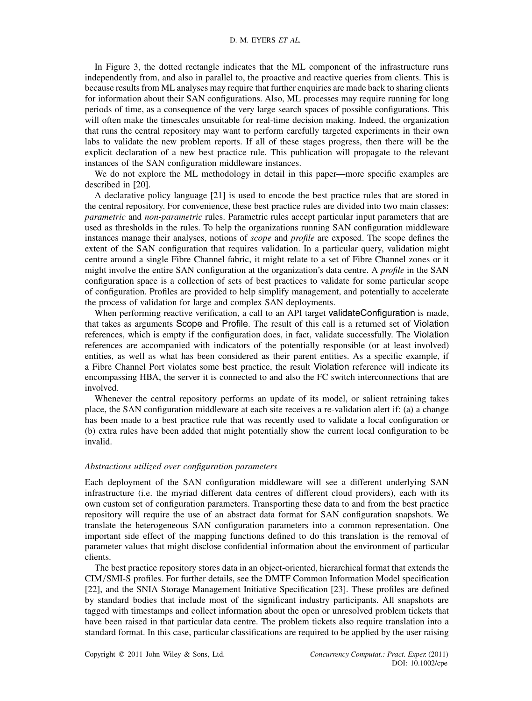#### D. M. EYERS *ET AL.*

In Figure 3, the dotted rectangle indicates that the ML component of the infrastructure runs independently from, and also in parallel to, the proactive and reactive queries from clients. This is because results from ML analyses may require that further enquiries are made back to sharing clients for information about their SAN configurations. Also, ML processes may require running for long periods of time, as a consequence of the very large search spaces of possible configurations. This will often make the timescales unsuitable for real-time decision making. Indeed, the organization that runs the central repository may want to perform carefully targeted experiments in their own labs to validate the new problem reports. If all of these stages progress, then there will be the explicit declaration of a new best practice rule. This publication will propagate to the relevant instances of the SAN configuration middleware instances.

We do not explore the ML methodology in detail in this paper—more specific examples are described in [20].

A declarative policy language [21] is used to encode the best practice rules that are stored in the central repository. For convenience, these best practice rules are divided into two main classes: *parametric* and *non-parametric* rules. Parametric rules accept particular input parameters that are used as thresholds in the rules. To help the organizations running SAN configuration middleware instances manage their analyses, notions of *scope* and *profile* are exposed. The scope defines the extent of the SAN configuration that requires validation. In a particular query, validation might centre around a single Fibre Channel fabric, it might relate to a set of Fibre Channel zones or it might involve the entire SAN configuration at the organization's data centre. A *profile* in the SAN configuration space is a collection of sets of best practices to validate for some particular scope of configuration. Profiles are provided to help simplify management, and potentially to accelerate the process of validation for large and complex SAN deployments.

When performing reactive verification, a call to an API target validateConfiguration is made, that takes as arguments Scope and Profile. The result of this call is a returned set of Violation references, which is empty if the configuration does, in fact, validate successfully. The Violation references are accompanied with indicators of the potentially responsible (or at least involved) entities, as well as what has been considered as their parent entities. As a specific example, if a Fibre Channel Port violates some best practice, the result Violation reference will indicate its encompassing HBA, the server it is connected to and also the FC switch interconnections that are involved.

Whenever the central repository performs an update of its model, or salient retraining takes place, the SAN configuration middleware at each site receives a re-validation alert if: (a) a change has been made to a best practice rule that was recently used to validate a local configuration or (b) extra rules have been added that might potentially show the current local configuration to be invalid.

## *Abstractions utilized over configuration parameters*

Each deployment of the SAN configuration middleware will see a different underlying SAN infrastructure (i.e. the myriad different data centres of different cloud providers), each with its own custom set of configuration parameters. Transporting these data to and from the best practice repository will require the use of an abstract data format for SAN configuration snapshots. We translate the heterogeneous SAN configuration parameters into a common representation. One important side effect of the mapping functions defined to do this translation is the removal of parameter values that might disclose confidential information about the environment of particular clients.

The best practice repository stores data in an object-oriented, hierarchical format that extends the CIM*/*SMI-S profiles. For further details, see the DMTF Common Information Model specification [22], and the SNIA Storage Management Initiative Specification [23]. These profiles are defined by standard bodies that include most of the significant industry participants. All snapshots are tagged with timestamps and collect information about the open or unresolved problem tickets that have been raised in that particular data centre. The problem tickets also require translation into a standard format. In this case, particular classifications are required to be applied by the user raising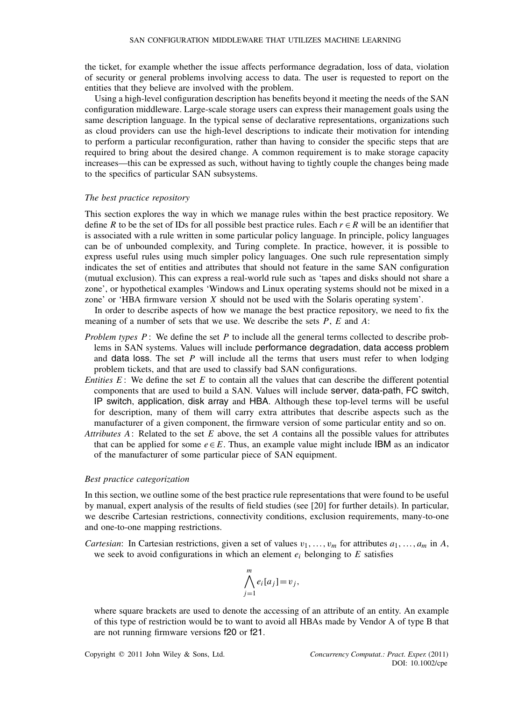the ticket, for example whether the issue affects performance degradation, loss of data, violation of security or general problems involving access to data. The user is requested to report on the entities that they believe are involved with the problem.

Using a high-level configuration description has benefits beyond it meeting the needs of the SAN configuration middleware. Large-scale storage users can express their management goals using the same description language. In the typical sense of declarative representations, organizations such as cloud providers can use the high-level descriptions to indicate their motivation for intending to perform a particular reconfiguration, rather than having to consider the specific steps that are required to bring about the desired change. A common requirement is to make storage capacity increases—this can be expressed as such, without having to tightly couple the changes being made to the specifics of particular SAN subsystems.

#### *The best practice repository*

This section explores the way in which we manage rules within the best practice repository. We define *R* to be the set of IDs for all possible best practice rules. Each  $r \in R$  will be an identifier that is associated with a rule written in some particular policy language. In principle, policy languages can be of unbounded complexity, and Turing complete. In practice, however, it is possible to express useful rules using much simpler policy languages. One such rule representation simply indicates the set of entities and attributes that should not feature in the same SAN configuration (mutual exclusion). This can express a real-world rule such as 'tapes and disks should not share a zone', or hypothetical examples 'Windows and Linux operating systems should not be mixed in a zone' or 'HBA firmware version *X* should not be used with the Solaris operating system'.

In order to describe aspects of how we manage the best practice repository, we need to fix the meaning of a number of sets that we use. We describe the sets *P*, *E* and *A*:

- *Problem types P* : We define the set *P* to include all the general terms collected to describe problems in SAN systems. Values will include performance degradation, data access problem and data loss. The set  $P$  will include all the terms that users must refer to when lodging problem tickets, and that are used to classify bad SAN configurations.
- *Entities*  $E$ : We define the set  $E$  to contain all the values that can describe the different potential components that are used to build a SAN. Values will include server, data-path, FC switch, IP switch, application, disk array and HBA. Although these top-level terms will be useful for description, many of them will carry extra attributes that describe aspects such as the manufacturer of a given component, the firmware version of some particular entity and so on.
- *Attributes A*: Related to the set *E* above, the set *A* contains all the possible values for attributes that can be applied for some  $e \in E$ . Thus, an example value might include IBM as an indicator of the manufacturer of some particular piece of SAN equipment.

## *Best practice categorization*

In this section, we outline some of the best practice rule representations that were found to be useful by manual, expert analysis of the results of field studies (see [20] for further details). In particular, we describe Cartesian restrictions, connectivity conditions, exclusion requirements, many-to-one and one-to-one mapping restrictions.

*Cartesian*: In Cartesian restrictions, given a set of values  $v_1, \ldots, v_m$  for attributes  $a_1, \ldots, a_m$  in A, we seek to avoid configurations in which an element  $e_i$  belonging to  $E$  satisfies

$$
\bigwedge_{j=1}^m e_i[a_j]=v_j,
$$

where square brackets are used to denote the accessing of an attribute of an entity. An example of this type of restriction would be to want to avoid all HBAs made by Vendor A of type B that are not running firmware versions f20 or f21.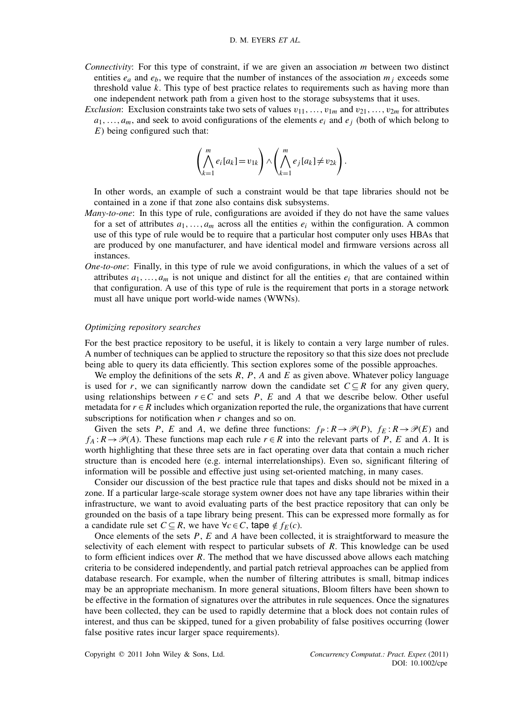- *Connectivity*: For this type of constraint, if we are given an association *m* between two distinct entities  $e_a$  and  $e_b$ , we require that the number of instances of the association  $m_i$  exceeds some threshold value *k*. This type of best practice relates to requirements such as having more than one independent network path from a given host to the storage subsystems that it uses.
- *Exclusion*: Exclusion constraints take two sets of values  $v_{11}, \ldots, v_{1m}$  and  $v_{21}, \ldots, v_{2m}$  for attributes  $a_1, \ldots, a_m$ , and seek to avoid configurations of the elements  $e_i$  and  $e_j$  (both of which belong to *E*) being configured such that:

$$
\left(\bigwedge_{k=1}^m e_i[a_k] = v_{1k}\right) \wedge \left(\bigwedge_{k=1}^m e_j[a_k] \neq v_{2k}\right).
$$

In other words, an example of such a constraint would be that tape libraries should not be contained in a zone if that zone also contains disk subsystems.

- *Many-to-one*: In this type of rule, configurations are avoided if they do not have the same values for a set of attributes  $a_1, \ldots, a_m$  across all the entities  $e_i$  within the configuration. A common use of this type of rule would be to require that a particular host computer only uses HBAs that are produced by one manufacturer, and have identical model and firmware versions across all instances.
- *One-to-one*: Finally, in this type of rule we avoid configurations, in which the values of a set of attributes  $a_1, \ldots, a_m$  is not unique and distinct for all the entities  $e_i$  that are contained within that configuration. A use of this type of rule is the requirement that ports in a storage network must all have unique port world-wide names (WWNs).

#### *Optimizing repository searches*

For the best practice repository to be useful, it is likely to contain a very large number of rules. A number of techniques can be applied to structure the repository so that this size does not preclude being able to query its data efficiently. This section explores some of the possible approaches.

We employ the definitions of the sets *R*, *P*, *A* and *E* as given above. Whatever policy language is used for *r*, we can significantly narrow down the candidate set  $C \subseteq R$  for any given query, using relationships between  $r \in C$  and sets *P*, *E* and *A* that we describe below. Other useful metadata for  $r \in R$  includes which organization reported the rule, the organizations that have current subscriptions for notification when *r* changes and so on.

Given the sets P, E and A, we define three functions:  $f_P: R \to \mathcal{P}(P)$ ,  $f_E: R \to \mathcal{P}(E)$  and *f<sub>A</sub>* :  $R \rightarrow \mathcal{P}(A)$ . These functions map each rule  $r \in R$  into the relevant parts of *P*, *E* and *A*. It is worth highlighting that these three sets are in fact operating over data that contain a much richer structure than is encoded here (e.g. internal interrelationships). Even so, significant filtering of information will be possible and effective just using set-oriented matching, in many cases.

Consider our discussion of the best practice rule that tapes and disks should not be mixed in a zone. If a particular large-scale storage system owner does not have any tape libraries within their infrastructure, we want to avoid evaluating parts of the best practice repository that can only be grounded on the basis of a tape library being present. This can be expressed more formally as for a candidate rule set  $C \subseteq R$ , we have  $\forall c \in C$ , tape  $\notin f_E(c)$ .

Once elements of the sets *P*, *E* and *A* have been collected, it is straightforward to measure the selectivity of each element with respect to particular subsets of *R*. This knowledge can be used to form efficient indices over *R*. The method that we have discussed above allows each matching criteria to be considered independently, and partial patch retrieval approaches can be applied from database research. For example, when the number of filtering attributes is small, bitmap indices may be an appropriate mechanism. In more general situations, Bloom filters have been shown to be effective in the formation of signatures over the attributes in rule sequences. Once the signatures have been collected, they can be used to rapidly determine that a block does not contain rules of interest, and thus can be skipped, tuned for a given probability of false positives occurring (lower false positive rates incur larger space requirements).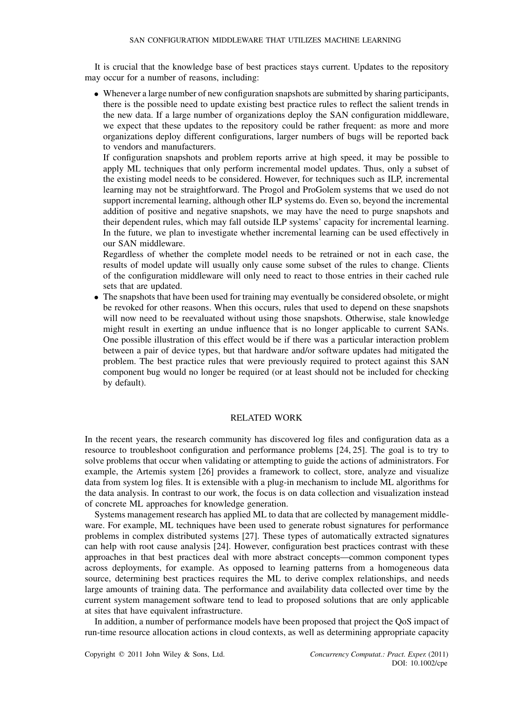It is crucial that the knowledge base of best practices stays current. Updates to the repository may occur for a number of reasons, including:

• Whenever a large number of new configuration snapshots are submitted by sharing participants, there is the possible need to update existing best practice rules to reflect the salient trends in the new data. If a large number of organizations deploy the SAN configuration middleware, we expect that these updates to the repository could be rather frequent: as more and more organizations deploy different configurations, larger numbers of bugs will be reported back to vendors and manufacturers.

If configuration snapshots and problem reports arrive at high speed, it may be possible to apply ML techniques that only perform incremental model updates. Thus, only a subset of the existing model needs to be considered. However, for techniques such as ILP, incremental learning may not be straightforward. The Progol and ProGolem systems that we used do not support incremental learning, although other ILP systems do. Even so, beyond the incremental addition of positive and negative snapshots, we may have the need to purge snapshots and their dependent rules, which may fall outside ILP systems' capacity for incremental learning. In the future, we plan to investigate whether incremental learning can be used effectively in our SAN middleware.

Regardless of whether the complete model needs to be retrained or not in each case, the results of model update will usually only cause some subset of the rules to change. Clients of the configuration middleware will only need to react to those entries in their cached rule sets that are updated.

• The snapshots that have been used for training may eventually be considered obsolete, or might be revoked for other reasons. When this occurs, rules that used to depend on these snapshots will now need to be reevaluated without using those snapshots. Otherwise, stale knowledge might result in exerting an undue influence that is no longer applicable to current SANs. One possible illustration of this effect would be if there was a particular interaction problem between a pair of device types, but that hardware and/or software updates had mitigated the problem. The best practice rules that were previously required to protect against this SAN component bug would no longer be required (or at least should not be included for checking by default).

#### RELATED WORK

In the recent years, the research community has discovered log files and configuration data as a resource to troubleshoot configuration and performance problems [24, 25]. The goal is to try to solve problems that occur when validating or attempting to guide the actions of administrators. For example, the Artemis system [26] provides a framework to collect, store, analyze and visualize data from system log files. It is extensible with a plug-in mechanism to include ML algorithms for the data analysis. In contrast to our work, the focus is on data collection and visualization instead of concrete ML approaches for knowledge generation.

Systems management research has applied ML to data that are collected by management middleware. For example, ML techniques have been used to generate robust signatures for performance problems in complex distributed systems [27]. These types of automatically extracted signatures can help with root cause analysis [24]. However, configuration best practices contrast with these approaches in that best practices deal with more abstract concepts—common component types across deployments, for example. As opposed to learning patterns from a homogeneous data source, determining best practices requires the ML to derive complex relationships, and needs large amounts of training data. The performance and availability data collected over time by the current system management software tend to lead to proposed solutions that are only applicable at sites that have equivalent infrastructure.

In addition, a number of performance models have been proposed that project the QoS impact of run-time resource allocation actions in cloud contexts, as well as determining appropriate capacity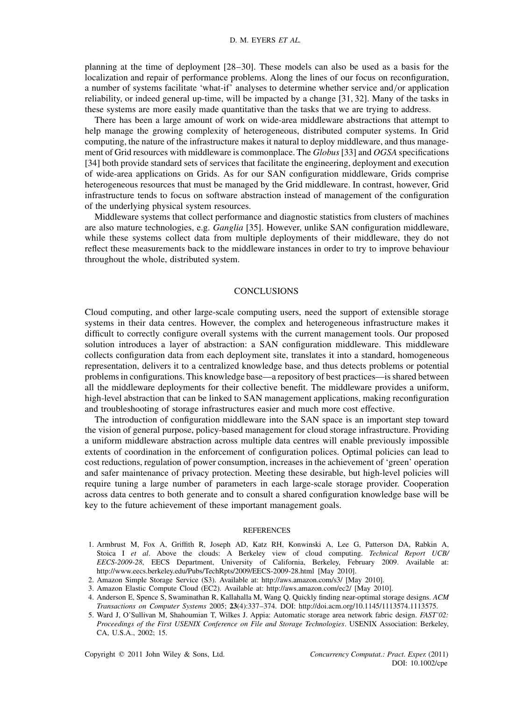planning at the time of deployment [28–30]. These models can also be used as a basis for the localization and repair of performance problems. Along the lines of our focus on reconfiguration, a number of systems facilitate 'what-if' analyses to determine whether service and*/*or application reliability, or indeed general up-time, will be impacted by a change [31, 32]. Many of the tasks in these systems are more easily made quantitative than the tasks that we are trying to address.

There has been a large amount of work on wide-area middleware abstractions that attempt to help manage the growing complexity of heterogeneous, distributed computer systems. In Grid computing, the nature of the infrastructure makes it natural to deploy middleware, and thus management of Grid resources with middleware is commonplace. The *Globus*[33] and *OGSA* specifications [34] both provide standard sets of services that facilitate the engineering, deployment and execution of wide-area applications on Grids. As for our SAN configuration middleware, Grids comprise heterogeneous resources that must be managed by the Grid middleware. In contrast, however, Grid infrastructure tends to focus on software abstraction instead of management of the configuration of the underlying physical system resources.

Middleware systems that collect performance and diagnostic statistics from clusters of machines are also mature technologies, e.g. *Ganglia* [35]. However, unlike SAN configuration middleware, while these systems collect data from multiple deployments of their middleware, they do not reflect these measurements back to the middleware instances in order to try to improve behaviour throughout the whole, distributed system.

#### **CONCLUSIONS**

Cloud computing, and other large-scale computing users, need the support of extensible storage systems in their data centres. However, the complex and heterogeneous infrastructure makes it difficult to correctly configure overall systems with the current management tools. Our proposed solution introduces a layer of abstraction: a SAN configuration middleware. This middleware collects configuration data from each deployment site, translates it into a standard, homogeneous representation, delivers it to a centralized knowledge base, and thus detects problems or potential problems in configurations. This knowledge base—a repository of best practices—is shared between all the middleware deployments for their collective benefit. The middleware provides a uniform, high-level abstraction that can be linked to SAN management applications, making reconfiguration and troubleshooting of storage infrastructures easier and much more cost effective.

The introduction of configuration middleware into the SAN space is an important step toward the vision of general purpose, policy-based management for cloud storage infrastructure. Providing a uniform middleware abstraction across multiple data centres will enable previously impossible extents of coordination in the enforcement of configuration polices. Optimal policies can lead to cost reductions, regulation of power consumption, increases in the achievement of 'green' operation and safer maintenance of privacy protection. Meeting these desirable, but high-level policies will require tuning a large number of parameters in each large-scale storage provider. Cooperation across data centres to both generate and to consult a shared configuration knowledge base will be key to the future achievement of these important management goals.

#### **REFERENCES**

- 1. Armbrust M, Fox A, Griffith R, Joseph AD, Katz RH, Konwinski A, Lee G, Patterson DA, Rabkin A, Stoica I *et al*. Above the clouds: A Berkeley view of cloud computing. *Technical Report UCB/ EECS-2009-28*, EECS Department, University of California, Berkeley, February 2009. Available at: http://www.eecs.berkeley.edu/Pubs/TechRpts/2009/EECS-2009-28.html [May 2010].
- 2. Amazon Simple Storage Service (S3). Available at: http://aws.amazon.com/s3/ [May 2010].
- 3. Amazon Elastic Compute Cloud (EC2). Available at: http://aws.amazon.com/ec2/ [May 2010].
- 4. Anderson E, Spence S, Swaminathan R, Kallahalla M, Wang Q. Quickly finding near-optimal storage designs. *ACM Transactions on Computer Systems* 2005; **23**(4):337–374. DOI: http://doi.acm.org/10.1145/1113574.1113575.
- 5. Ward J, O'Sullivan M, Shahoumian T, Wilkes J. Appia: Automatic storage area network fabric design. *FAST'02: Proceedings of the First USENIX Conference on File and Storage Technologies*. USENIX Association: Berkeley, CA, U.S.A., 2002; 15.